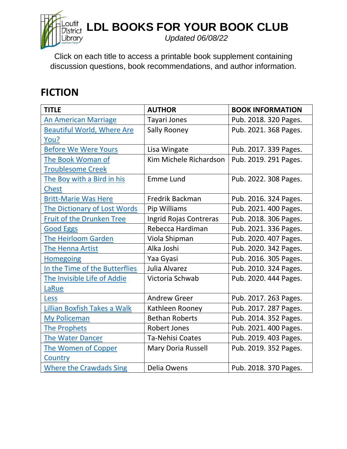

**LDL BOOKS FOR YOUR BOOK CLUB** 

*Updated 06/08/22*

Click on each title to access a printable book supplement containing discussion questions, book recommendations, and author information.

## **FICTION**

| <b>TITLE</b>                        | <b>AUTHOR</b>           | <b>BOOK INFORMATION</b> |
|-------------------------------------|-------------------------|-------------------------|
| <b>An American Marriage</b>         | Tayari Jones            | Pub. 2018. 320 Pages.   |
| <b>Beautiful World, Where Are</b>   | <b>Sally Rooney</b>     | Pub. 2021. 368 Pages.   |
| You?                                |                         |                         |
| <b>Before We Were Yours</b>         | Lisa Wingate            | Pub. 2017. 339 Pages.   |
| The Book Woman of                   | Kim Michele Richardson  | Pub. 2019. 291 Pages.   |
| <b>Troublesome Creek</b>            |                         |                         |
| The Boy with a Bird in his          | <b>Emme Lund</b>        | Pub. 2022. 308 Pages.   |
| <b>Chest</b>                        |                         |                         |
| <b>Britt-Marie Was Here</b>         | <b>Fredrik Backman</b>  | Pub. 2016. 324 Pages.   |
| <b>The Dictionary of Lost Words</b> | Pip Williams            | Pub. 2021. 400 Pages.   |
| <b>Fruit of the Drunken Tree</b>    | Ingrid Rojas Contreras  | Pub. 2018. 306 Pages.   |
| <b>Good Eggs</b>                    | Rebecca Hardiman        | Pub. 2021. 336 Pages.   |
| <b>The Heirloom Garden</b>          | Viola Shipman           | Pub. 2020. 407 Pages.   |
| The Henna Artist                    | Alka Joshi              | Pub. 2020. 342 Pages.   |
| <b>Homegoing</b>                    | Yaa Gyasi               | Pub. 2016. 305 Pages.   |
| In the Time of the Butterflies      | Julia Alvarez           | Pub. 2010. 324 Pages.   |
| The Invisible Life of Addie         | Victoria Schwab         | Pub. 2020. 444 Pages.   |
| LaRue                               |                         |                         |
| <b>Less</b>                         | <b>Andrew Greer</b>     | Pub. 2017. 263 Pages.   |
| Lillian Boxfish Takes a Walk        | Kathleen Rooney         | Pub. 2017. 287 Pages.   |
| My Policeman                        | <b>Bethan Roberts</b>   | Pub. 2014. 352 Pages.   |
| <b>The Prophets</b>                 | <b>Robert Jones</b>     | Pub. 2021. 400 Pages.   |
| <b>The Water Dancer</b>             | <b>Ta-Nehisi Coates</b> | Pub. 2019. 403 Pages.   |
| The Women of Copper                 | Mary Doria Russell      | Pub. 2019. 352 Pages.   |
| Country                             |                         |                         |
| <b>Where the Crawdads Sing</b>      | Delia Owens             | Pub. 2018. 370 Pages.   |